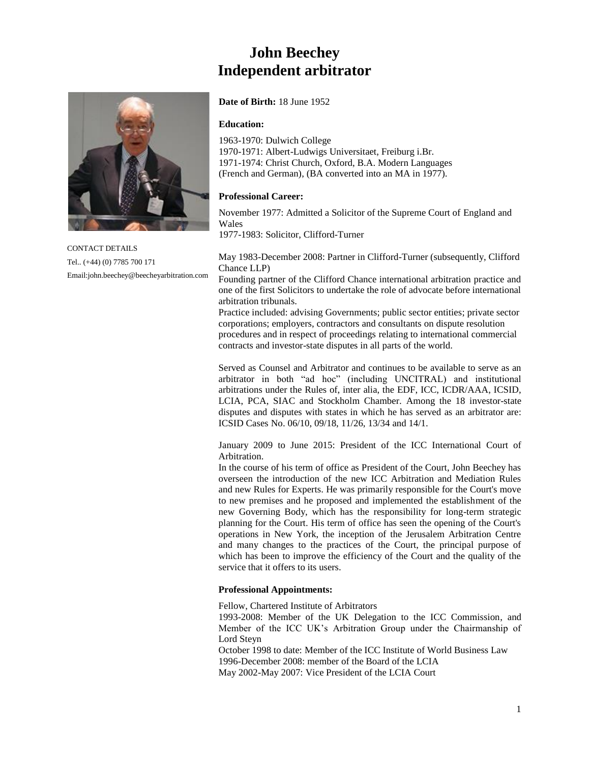# **John Beechey Independent arbitrator**



CONTACT DETAILS Tel.. (+44) (0) 7785 700 171 Email:john.beechey@beecheyarbitration.com

### **Date of Birth:** 18 June 1952

### **Education:**

1963-1970: Dulwich College 1970-1971: Albert-Ludwigs Universitaet, Freiburg i.Br. 1971-1974: Christ Church, Oxford, B.A. Modern Languages (French and German), (BA converted into an MA in 1977).

# **Professional Career:**

November 1977: Admitted a Solicitor of the Supreme Court of England and Wales

1977-1983: Solicitor, Clifford-Turner

May 1983-December 2008: Partner in Clifford-Turner (subsequently, Clifford Chance LLP)

Founding partner of the Clifford Chance international arbitration practice and one of the first Solicitors to undertake the role of advocate before international arbitration tribunals.

Practice included: advising Governments; public sector entities; private sector corporations; employers, contractors and consultants on dispute resolution procedures and in respect of proceedings relating to international commercial contracts and investor-state disputes in all parts of the world.

Served as Counsel and Arbitrator and continues to be available to serve as an arbitrator in both "ad hoc" (including UNCITRAL) and institutional arbitrations under the Rules of, inter alia, the EDF, ICC, ICDR/AAA, ICSID, LCIA, PCA, SIAC and Stockholm Chamber. Among the 18 investor-state disputes and disputes with states in which he has served as an arbitrator are: ICSID Cases No. 06/10, 09/18, 11/26, 13/34 and 14/1.

January 2009 to June 2015: President of the ICC International Court of Arbitration.

In the course of his term of office as President of the Court, John Beechey has overseen the introduction of the new ICC Arbitration and Mediation Rules and new Rules for Experts. He was primarily responsible for the Court's move to new premises and he proposed and implemented the establishment of the new Governing Body, which has the responsibility for long-term strategic planning for the Court. His term of office has seen the opening of the Court's operations in New York, the inception of the Jerusalem Arbitration Centre and many changes to the practices of the Court, the principal purpose of which has been to improve the efficiency of the Court and the quality of the service that it offers to its users.

# **Professional Appointments:**

Fellow, Chartered Institute of Arbitrators

1993-2008: Member of the UK Delegation to the ICC Commission, and Member of the ICC UK's Arbitration Group under the Chairmanship of Lord Steyn

October 1998 to date: Member of the ICC Institute of World Business Law 1996-December 2008: member of the Board of the LCIA May 2002-May 2007: Vice President of the LCIA Court